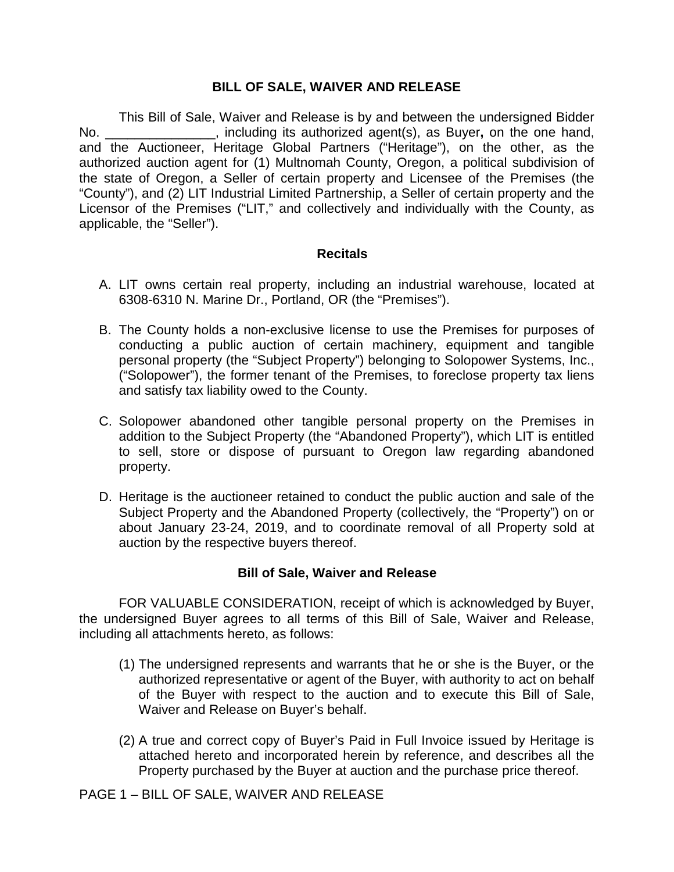## **BILL OF SALE, WAIVER AND RELEASE**

This Bill of Sale, Waiver and Release is by and between the undersigned Bidder No. \_\_\_\_\_\_\_\_\_\_\_\_\_\_\_, including its authorized agent(s), as Buyer**,** on the one hand, and the Auctioneer, Heritage Global Partners ("Heritage"), on the other, as the authorized auction agent for (1) Multnomah County, Oregon, a political subdivision of the state of Oregon, a Seller of certain property and Licensee of the Premises (the "County"), and (2) LIT Industrial Limited Partnership, a Seller of certain property and the Licensor of the Premises ("LIT," and collectively and individually with the County, as applicable, the "Seller").

## **Recitals**

- A. LIT owns certain real property, including an industrial warehouse, located at 6308-6310 N. Marine Dr., Portland, OR (the "Premises").
- B. The County holds a non-exclusive license to use the Premises for purposes of conducting a public auction of certain machinery, equipment and tangible personal property (the "Subject Property") belonging to Solopower Systems, Inc., ("Solopower"), the former tenant of the Premises, to foreclose property tax liens and satisfy tax liability owed to the County.
- C. Solopower abandoned other tangible personal property on the Premises in addition to the Subject Property (the "Abandoned Property"), which LIT is entitled to sell, store or dispose of pursuant to Oregon law regarding abandoned property.
- D. Heritage is the auctioneer retained to conduct the public auction and sale of the Subject Property and the Abandoned Property (collectively, the "Property") on or about January 23-24, 2019, and to coordinate removal of all Property sold at auction by the respective buyers thereof.

## **Bill of Sale, Waiver and Release**

FOR VALUABLE CONSIDERATION, receipt of which is acknowledged by Buyer, the undersigned Buyer agrees to all terms of this Bill of Sale, Waiver and Release, including all attachments hereto, as follows:

- (1) The undersigned represents and warrants that he or she is the Buyer, or the authorized representative or agent of the Buyer, with authority to act on behalf of the Buyer with respect to the auction and to execute this Bill of Sale, Waiver and Release on Buyer's behalf.
- (2) A true and correct copy of Buyer's Paid in Full Invoice issued by Heritage is attached hereto and incorporated herein by reference, and describes all the Property purchased by the Buyer at auction and the purchase price thereof.

PAGE 1 – BILL OF SALE, WAIVER AND RELEASE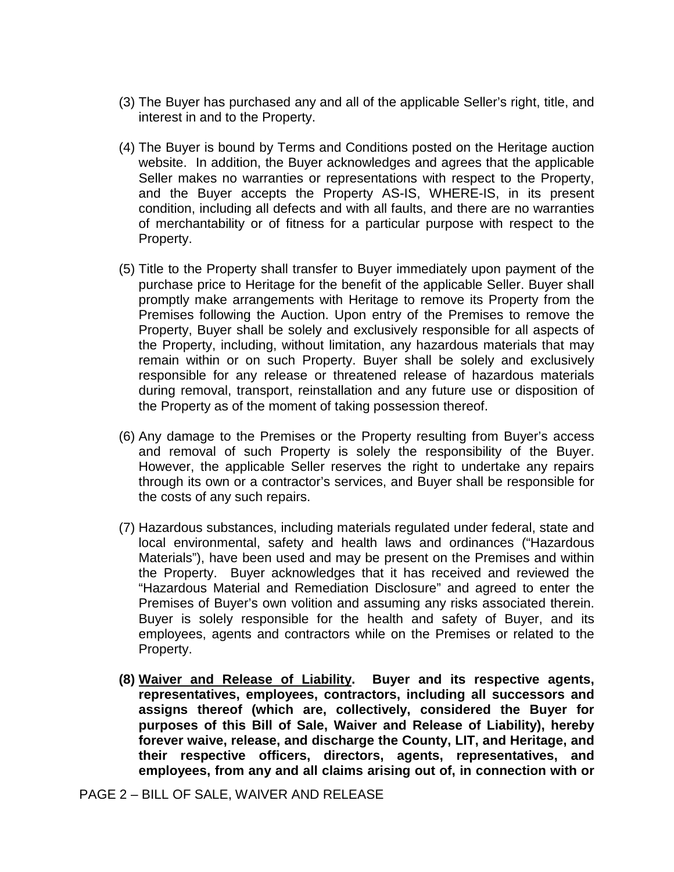- (3) The Buyer has purchased any and all of the applicable Seller's right, title, and interest in and to the Property.
- (4) The Buyer is bound by Terms and Conditions posted on the Heritage auction website. In addition, the Buyer acknowledges and agrees that the applicable Seller makes no warranties or representations with respect to the Property, and the Buyer accepts the Property AS-IS, WHERE-IS, in its present condition, including all defects and with all faults, and there are no warranties of merchantability or of fitness for a particular purpose with respect to the Property.
- (5) Title to the Property shall transfer to Buyer immediately upon payment of the purchase price to Heritage for the benefit of the applicable Seller. Buyer shall promptly make arrangements with Heritage to remove its Property from the Premises following the Auction. Upon entry of the Premises to remove the Property, Buyer shall be solely and exclusively responsible for all aspects of the Property, including, without limitation, any hazardous materials that may remain within or on such Property. Buyer shall be solely and exclusively responsible for any release or threatened release of hazardous materials during removal, transport, reinstallation and any future use or disposition of the Property as of the moment of taking possession thereof.
- (6) Any damage to the Premises or the Property resulting from Buyer's access and removal of such Property is solely the responsibility of the Buyer. However, the applicable Seller reserves the right to undertake any repairs through its own or a contractor's services, and Buyer shall be responsible for the costs of any such repairs.
- (7) Hazardous substances, including materials regulated under federal, state and local environmental, safety and health laws and ordinances ("Hazardous Materials"), have been used and may be present on the Premises and within the Property. Buyer acknowledges that it has received and reviewed the "Hazardous Material and Remediation Disclosure" and agreed to enter the Premises of Buyer's own volition and assuming any risks associated therein. Buyer is solely responsible for the health and safety of Buyer, and its employees, agents and contractors while on the Premises or related to the Property.
- **(8) Waiver and Release of Liability. Buyer and its respective agents, representatives, employees, contractors, including all successors and assigns thereof (which are, collectively, considered the Buyer for purposes of this Bill of Sale, Waiver and Release of Liability), hereby forever waive, release, and discharge the County, LIT, and Heritage, and their respective officers, directors, agents, representatives, and employees, from any and all claims arising out of, in connection with or**